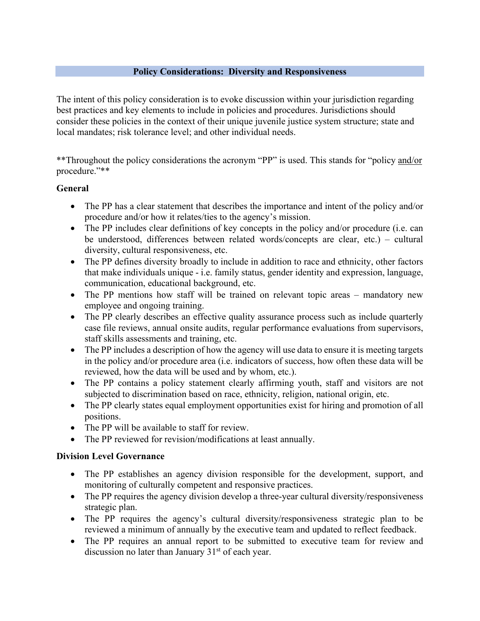#### **Policy Considerations: Diversity and Responsiveness**

The intent of this policy consideration is to evoke discussion within your jurisdiction regarding best practices and key elements to include in policies and procedures. Jurisdictions should consider these policies in the context of their unique juvenile justice system structure; state and local mandates; risk tolerance level; and other individual needs.

\*\*Throughout the policy considerations the acronym "PP" is used. This stands for "policy and/or procedure."\*\*

#### **General**

- The PP has a clear statement that describes the importance and intent of the policy and/or procedure and/or how it relates/ties to the agency's mission.
- The PP includes clear definitions of key concepts in the policy and/or procedure (i.e. can be understood, differences between related words/concepts are clear, etc.) – cultural diversity, cultural responsiveness, etc.
- The PP defines diversity broadly to include in addition to race and ethnicity, other factors that make individuals unique - i.e. family status, gender identity and expression, language, communication, educational background, etc.
- The PP mentions how staff will be trained on relevant topic areas mandatory new employee and ongoing training.
- The PP clearly describes an effective quality assurance process such as include quarterly case file reviews, annual onsite audits, regular performance evaluations from supervisors, staff skills assessments and training, etc.
- The PP includes a description of how the agency will use data to ensure it is meeting targets in the policy and/or procedure area (i.e. indicators of success, how often these data will be reviewed, how the data will be used and by whom, etc.).
- The PP contains a policy statement clearly affirming youth, staff and visitors are not subjected to discrimination based on race, ethnicity, religion, national origin, etc.
- The PP clearly states equal employment opportunities exist for hiring and promotion of all positions.
- The PP will be available to staff for review.
- The PP reviewed for revision/modifications at least annually.

#### **Division Level Governance**

- The PP establishes an agency division responsible for the development, support, and monitoring of culturally competent and responsive practices.
- The PP requires the agency division develop a three-year cultural diversity/responsiveness strategic plan.
- The PP requires the agency's cultural diversity/responsiveness strategic plan to be reviewed a minimum of annually by the executive team and updated to reflect feedback.
- The PP requires an annual report to be submitted to executive team for review and discussion no later than January  $31<sup>st</sup>$  of each year.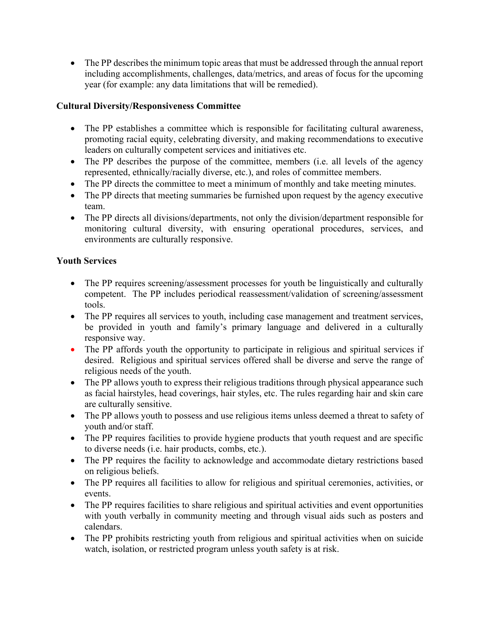• The PP describes the minimum topic areas that must be addressed through the annual report including accomplishments, challenges, data/metrics, and areas of focus for the upcoming year (for example: any data limitations that will be remedied).

## **Cultural Diversity/Responsiveness Committee**

- The PP establishes a committee which is responsible for facilitating cultural awareness, promoting racial equity, celebrating diversity, and making recommendations to executive leaders on culturally competent services and initiatives etc.
- The PP describes the purpose of the committee, members (i.e. all levels of the agency represented, ethnically/racially diverse, etc.), and roles of committee members.
- The PP directs the committee to meet a minimum of monthly and take meeting minutes.
- The PP directs that meeting summaries be furnished upon request by the agency executive team.
- The PP directs all divisions/departments, not only the division/department responsible for monitoring cultural diversity, with ensuring operational procedures, services, and environments are culturally responsive.

## **Youth Services**

- The PP requires screening/assessment processes for youth be linguistically and culturally competent. The PP includes periodical reassessment/validation of screening/assessment tools.
- The PP requires all services to youth, including case management and treatment services, be provided in youth and family's primary language and delivered in a culturally responsive way.
- The PP affords youth the opportunity to participate in religious and spiritual services if desired. Religious and spiritual services offered shall be diverse and serve the range of religious needs of the youth.
- The PP allows youth to express their religious traditions through physical appearance such as facial hairstyles, head coverings, hair styles, etc. The rules regarding hair and skin care are culturally sensitive.
- The PP allows youth to possess and use religious items unless deemed a threat to safety of youth and/or staff.
- The PP requires facilities to provide hygiene products that youth request and are specific to diverse needs (i.e. hair products, combs, etc.).
- The PP requires the facility to acknowledge and accommodate dietary restrictions based on religious beliefs.
- The PP requires all facilities to allow for religious and spiritual ceremonies, activities, or events.
- The PP requires facilities to share religious and spiritual activities and event opportunities with youth verbally in community meeting and through visual aids such as posters and calendars.
- The PP prohibits restricting youth from religious and spiritual activities when on suicide watch, isolation, or restricted program unless youth safety is at risk.